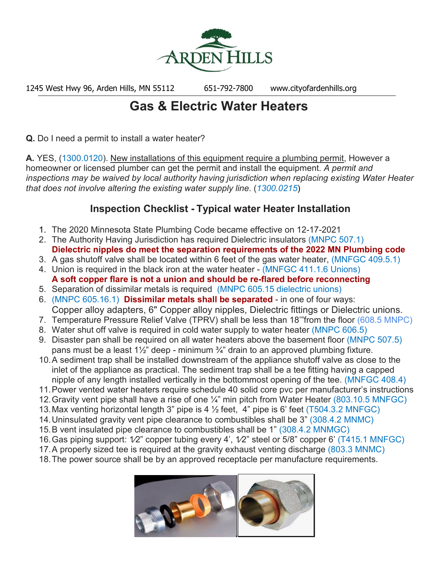

1245 West Hwy 96, Arden Hills, MN 55112 651-792-7800 www.cityofardenhills.org

## **Gas & Electric Water Heaters**

**Q.** Do I need a permit to install a water heater?

**A.** YES, (1300.0120). New installations of this equipment require a plumbing permit, However a homeowner or licensed plumber can get the permit and install the equipment. *A permit and inspections may be waived by local authority having jurisdiction when replacing existing Water Heater that does not involve altering the existing water supply line*. (*1300.0215*)

## **Inspection Checklist - Typical water Heater Installation**

- 1. The 2020 Minnesota State Plumbing Code became effective on 12-17-2021
- 2. The Authority Having Jurisdiction has required Dielectric insulators (MNPC 507.1) **Dielectric nipples do meet the separation requirements of the 2022 MN Plumbing code**
- 3. A gas shutoff valve shall be located within 6 feet of the gas water heater, (MNFGC 409.5.1)
- 4. Union is required in the black iron at the water heater (MNFGC 411.1.6 Unions) **A soft copper flare is not a union and should be re-flared before reconnecting**
- 5. Separation of dissimilar metals is required (MNPC 605.15 dielectric unions)
- 6. (MNPC 605.16.1) **Dissimilar metals shall be separated** in one of four ways:
- Copper alloy adapters, 6" Copper alloy nipples, Dielectric fittings or Dielectric unions.
- 7. Temperature Pressure Relief Valve (TPRV) shall be less than 18'"from the floor (608.5 MNPC)
- 8. Water shut off valve is required in cold water supply to water heater (MNPC 606.5)
- 9. Disaster pan shall be required on all water heaters above the basement floor (MNPC 507.5) pans must be a least  $1\frac{1}{2}$ " deep - minimum  $\frac{3}{4}$ " drain to an approved plumbing fixture.
- 10.A sediment trap shall be installed downstream of the appliance shutoff valve as close to the inlet of the appliance as practical. The sediment trap shall be a tee fitting having a capped nipple of any length installed vertically in the bottommost opening of the tee. (MNFGC 408.4)
- 11.Power vented water heaters require schedule 40 solid core pvc per manufacturer's instructions
- 12.Gravity vent pipe shall have a rise of one ¼" min pitch from Water Heater (803.10.5 MNFGC)
- 13.Max venting horizontal length 3" pipe is 4 ½ feet, 4" pipe is 6' feet (T504.3.2 MNFGC)
- 14.Uninsulated gravity vent pipe clearance to combustibles shall be 3" (308.4.2 MNMC)
- 15.B vent insulated pipe clearance to combustibles shall be 1" (308.4.2 MNMGC)
- 16.Gas piping support: 1⁄2" copper tubing every 4', 1⁄2" steel or 5/8" copper 6' (T415.1 MNFGC)
- 17.A properly sized tee is required at the gravity exhaust venting discharge (803.3 MNMC)
- 18.The power source shall be by an approved receptacle per manufacture requirements.